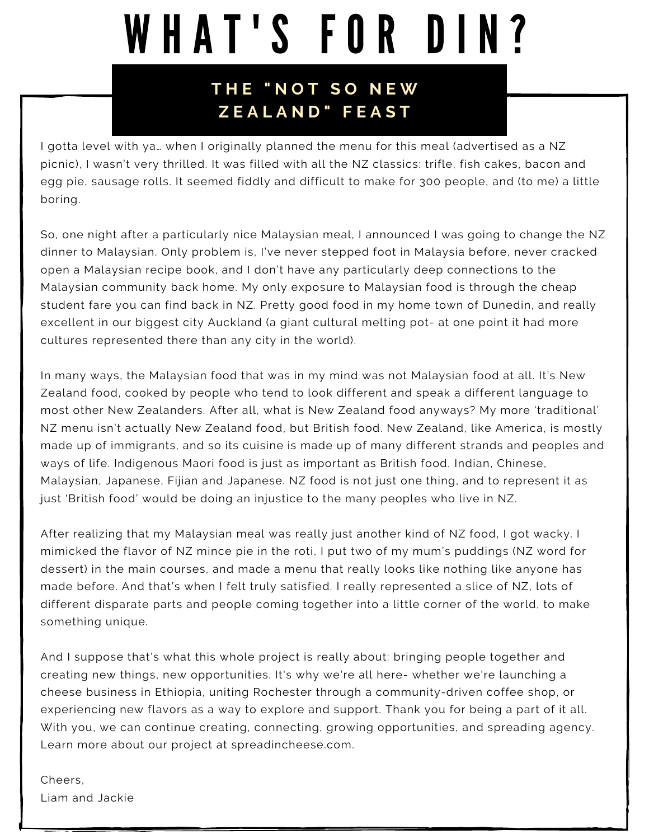# WHAT'S FOR DIN?

#### **T H E " N O T S O N E W Z E A L A N D " F E A S T**

I gotta level with ya… when I originally planned the menu for this meal (advertised as a NZ picnic), I wasn't very thrilled. It was filled with all the NZ classics: trifle, fish cakes, bacon and egg pie, sausage rolls. It seemed fiddly and difficult to make for 300 people, and (to me) a little boring.

So, one night after a particularly nice Malaysian meal, I announced I was going to change the NZ dinner to Malaysian. Only problem is, I've never stepped foot in Malaysia before, never cracked open a Malaysian recipe book, and I don't have any particularly deep connections to the Malaysian community back home. My only exposure to Malaysian food is through the cheap student fare you can find back in NZ. Pretty good food in my home town of Dunedin, and really excellent in our biggest city Auckland (a giant cultural melting pot- at one point it had more cultures represented there than any city in the world).

In many ways, the Malaysian food that was in my mind was not Malaysian food at all. It's New Zealand food, cooked by people who tend to look different and speak a different language to most other New Zealanders. After all, what is New Zealand food anyways? My more 'traditional' NZ menu isn't actually New Zealand food, but British food. New Zealand, like America, is mostly made up of immigrants, and so its cuisine is made up of many different strands and peoples and ways of life. Indigenous Maori food is just as important as British food, Indian, Chinese, Malaysian, Japanese, Fijian and Japanese. NZ food is not just one thing, and to represent it as just 'British food' would be doing an injustice to the many peoples who live in NZ.

After realizing that my Malaysian meal was really just another kind of NZ food, I got wacky. I mimicked the flavor of NZ mince pie in the roti, I put two of my mum's puddings (NZ word for dessert) in the main courses, and made a menu that really looks like nothing like anyone has made before. And that's when I felt truly satisfied. I really represented a slice of NZ, lots of different disparate parts and people coming together into a little corner of the world, to make something unique.

And I suppose that's what this whole project is really about: bringing people together and creating new things, new opportunities. It's why we're all here- whether we're launching a cheese business in Ethiopia, uniting Rochester through a community-driven coffee shop, or experiencing new flavors as a way to explore and support. Thank you for being a part of it all. With you, we can continue creating, connecting, growing opportunities, and spreading agency. Learn more about our project at spreadincheese.com.

Cheers, Liam and Jackie